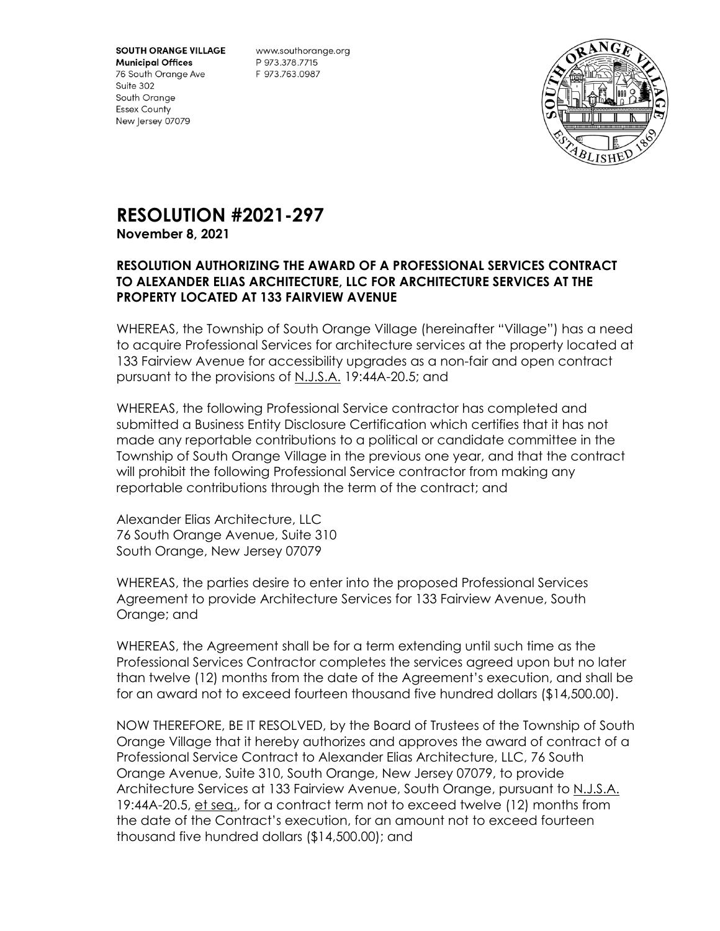**SOUTH ORANGE VILLAGE** 

**Municipal Offices** 76 South Orange Ave Suite 302 South Orange **Essex County** New Jersey 07079

www.southorange.org P 973.378.7715 F 973.763.0987



## **RESOLUTION #2021-297 November 8, 2021**

## **RESOLUTION AUTHORIZING THE AWARD OF A PROFESSIONAL SERVICES CONTRACT TO ALEXANDER ELIAS ARCHITECTURE, LLC FOR ARCHITECTURE SERVICES AT THE PROPERTY LOCATED AT 133 FAIRVIEW AVENUE**

WHEREAS, the Township of South Orange Village (hereinafter "Village") has a need to acquire Professional Services for architecture services at the property located at 133 Fairview Avenue for accessibility upgrades as a non-fair and open contract pursuant to the provisions of N.J.S.A. 19:44A-20.5; and

WHEREAS, the following Professional Service contractor has completed and submitted a Business Entity Disclosure Certification which certifies that it has not made any reportable contributions to a political or candidate committee in the Township of South Orange Village in the previous one year, and that the contract will prohibit the following Professional Service contractor from making any reportable contributions through the term of the contract; and

Alexander Elias Architecture, LLC 76 South Orange Avenue, Suite 310 South Orange, New Jersey 07079

WHEREAS, the parties desire to enter into the proposed Professional Services Agreement to provide Architecture Services for 133 Fairview Avenue, South Orange; and

WHEREAS, the Agreement shall be for a term extending until such time as the Professional Services Contractor completes the services agreed upon but no later than twelve (12) months from the date of the Agreement's execution, and shall be for an award not to exceed fourteen thousand five hundred dollars (\$14,500.00).

NOW THEREFORE, BE IT RESOLVED, by the Board of Trustees of the Township of South Orange Village that it hereby authorizes and approves the award of contract of a Professional Service Contract to Alexander Elias Architecture, LLC, 76 South Orange Avenue, Suite 310, South Orange, New Jersey 07079, to provide Architecture Services at 133 Fairview Avenue, South Orange, pursuant to N.J.S.A. 19:44A-20.5, et seq., for a contract term not to exceed twelve (12) months from the date of the Contract's execution, for an amount not to exceed fourteen thousand five hundred dollars (\$14,500.00); and